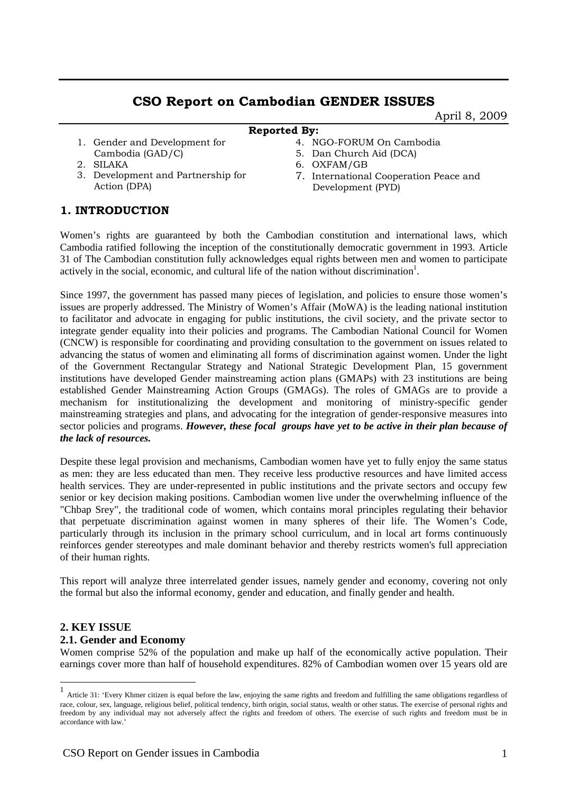# **CSO Report on Cambodian GENDER ISSUES**

April 8, 2009

### **Reported By:**

1. Gender and Development for Cambodia (GAD/C) 2. SILAKA

3. Development and Partnership for

- 4. NGO-FORUM On Cambodia
- 5. Dan Church Aid (DCA)
- 6. OXFAM/GB
- 7. International Cooperation Peace and Development (PYD)

## **1. INTRODUCTION**

Action (DPA)

Women's rights are guaranteed by both the Cambodian constitution and international laws, which Cambodia ratified following the inception of the constitutionally democratic government in 1993. Article 31 of The Cambodian constitution fully acknowledges equal rights between men and women to participate actively in the social, economic, and cultural life of the nation without discrimination<sup>1</sup>.

Since 1997, the government has passed many pieces of legislation, and policies to ensure those women's issues are properly addressed. The Ministry of Women's Affair (MoWA) is the leading national institution to facilitator and advocate in engaging for public institutions, the civil society, and the private sector to integrate gender equality into their policies and programs. The Cambodian National Council for Women (CNCW) is responsible for coordinating and providing consultation to the government on issues related to advancing the status of women and eliminating all forms of discrimination against women. Under the light of the Government Rectangular Strategy and National Strategic Development Plan, 15 government institutions have developed Gender mainstreaming action plans (GMAPs) with 23 institutions are being established Gender Mainstreaming Action Groups (GMAGs). The roles of GMAGs are to provide a mechanism for institutionalizing the development and monitoring of ministry-specific gender mainstreaming strategies and plans, and advocating for the integration of gender-responsive measures into sector policies and programs. *However, these focal groups have yet to be active in their plan because of the lack of resources.* 

Despite these legal provision and mechanisms, Cambodian women have yet to fully enjoy the same status as men: they are less educated than men. They receive less productive resources and have limited access health services. They are under-represented in public institutions and the private sectors and occupy few senior or key decision making positions. Cambodian women live under the overwhelming influence of the "Chbap Srey", the traditional code of women, which contains moral principles regulating their behavior that perpetuate discrimination against women in many spheres of their life. The Women's Code, particularly through its inclusion in the primary school curriculum, and in local art forms continuously reinforces gender stereotypes and male dominant behavior and thereby restricts women's full appreciation of their human rights.

This report will analyze three interrelated gender issues, namely gender and economy, covering not only the formal but also the informal economy, gender and education, and finally gender and health.

# **2. KEY ISSUE**

1

### **2.1. Gender and Economy**

Women comprise 52% of the population and make up half of the economically active population. Their earnings cover more than half of household expenditures. 82% of Cambodian women over 15 years old are

<sup>1</sup> Article 31: 'Every Khmer citizen is equal before the law, enjoying the same rights and freedom and fulfilling the same obligations regardless of race, colour, sex, language, religious belief, political tendency, birth origin, social status, wealth or other status. The exercise of personal rights and freedom by any individual may not adversely affect the rights and freedom of others. The exercise of such rights and freedom must be in accordance with law.'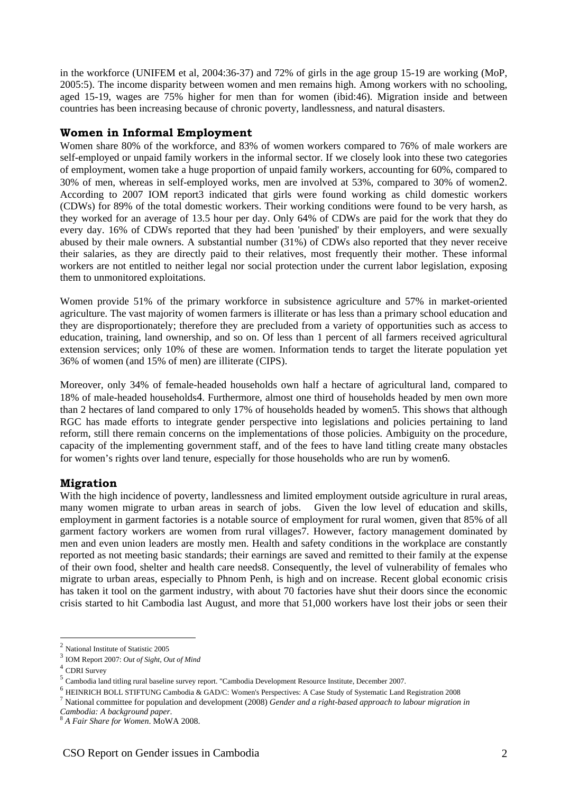in the workforce (UNIFEM et al, 2004:36-37) and 72% of girls in the age group 15-19 are working (MoP, 2005:5). The income disparity between women and men remains high. Among workers with no schooling, aged 15-19, wages are 75% higher for men than for women (ibid:46). Migration inside and between countries has been increasing because of chronic poverty, landlessness, and natural disasters.

#### **Women in Informal Employment**

Women share 80% of the workforce, and 83% of women workers compared to 76% of male workers are self-employed or unpaid family workers in the informal sector. If we closely look into these two categories of employment, women take a huge proportion of unpaid family workers, accounting for 60%, compared to 30% of men, whereas in self-employed works, men are involved at 53%, compared to 30% of women2. According to 2007 IOM report3 indicated that girls were found working as child domestic workers (CDWs) for 89% of the total domestic workers. Their working conditions were found to be very harsh, as they worked for an average of 13.5 hour per day. Only 64% of CDWs are paid for the work that they do every day. 16% of CDWs reported that they had been 'punished' by their employers, and were sexually abused by their male owners. A substantial number (31%) of CDWs also reported that they never receive their salaries, as they are directly paid to their relatives, most frequently their mother. These informal workers are not entitled to neither legal nor social protection under the current labor legislation, exposing them to unmonitored exploitations.

Women provide 51% of the primary workforce in subsistence agriculture and 57% in market-oriented agriculture. The vast majority of women farmers is illiterate or has less than a primary school education and they are disproportionately; therefore they are precluded from a variety of opportunities such as access to education, training, land ownership, and so on. Of less than 1 percent of all farmers received agricultural extension services; only 10% of these are women. Information tends to target the literate population yet 36% of women (and 15% of men) are illiterate (CIPS).

Moreover, only 34% of female-headed households own half a hectare of agricultural land, compared to 18% of male-headed households4. Furthermore, almost one third of households headed by men own more than 2 hectares of land compared to only 17% of households headed by women5. This shows that although RGC has made efforts to integrate gender perspective into legislations and policies pertaining to land reform, still there remain concerns on the implementations of those policies. Ambiguity on the procedure, capacity of the implementing government staff, and of the fees to have land titling create many obstacles for women's rights over land tenure, especially for those households who are run by women6.

### **Migration**

With the high incidence of poverty, landlessness and limited employment outside agriculture in rural areas, many women migrate to urban areas in search of jobs. Given the low level of education and skills, employment in garment factories is a notable source of employment for rural women, given that 85% of all garment factory workers are women from rural villages7. However, factory management dominated by men and even union leaders are mostly men. Health and safety conditions in the workplace are constantly reported as not meeting basic standards; their earnings are saved and remitted to their family at the expense of their own food, shelter and health care needs8. Consequently, the level of vulnerability of females who migrate to urban areas, especially to Phnom Penh, is high and on increase. Recent global economic crisis has taken it tool on the garment industry, with about 70 factories have shut their doors since the economic crisis started to hit Cambodia last August, and more that 51,000 workers have lost their jobs or seen their

1

<sup>2</sup> National Institute of Statistic 2005

<sup>3</sup> IOM Report 2007: *Out of Sight, Out of Mind*

 $^4$  CDRI Survey

Cambodia land titling rural baseline survey report. "Cambodia Development Resource Institute, December 2007.<br>
<sup>6</sup> HEINRICH BOLL STIFTUNG Cambodia & GAD/C: Women's Perspectives: A Case Study of Systematic Land Registration

<sup>7</sup> National committee for population and development (2008) *Gender and a right-based approach to labour migration in* 

*Cambodia: A background paper*. 8 *A Fair Share for Women*. MoWA 2008.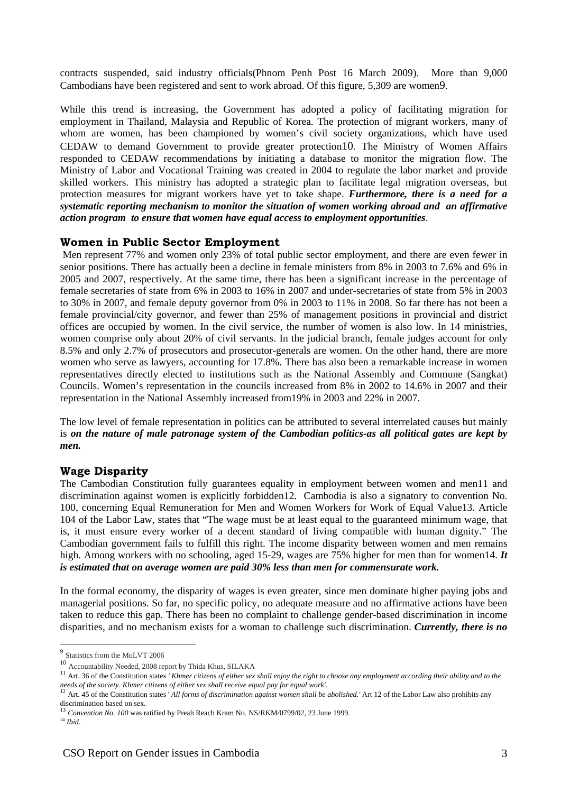contracts suspended, said industry officials(Phnom Penh Post 16 March 2009). More than 9,000 Cambodians have been registered and sent to work abroad. Of this figure, 5,309 are women9.

While this trend is increasing, the Government has adopted a policy of facilitating migration for employment in Thailand, Malaysia and Republic of Korea. The protection of migrant workers, many of whom are women, has been championed by women's civil society organizations, which have used CEDAW to demand Government to provide greater protection10. The Ministry of Women Affairs responded to CEDAW recommendations by initiating a database to monitor the migration flow. The Ministry of Labor and Vocational Training was created in 2004 to regulate the labor market and provide skilled workers. This ministry has adopted a strategic plan to facilitate legal migration overseas, but protection measures for migrant workers have yet to take shape. *Furthermore, there is a need for a systematic reporting mechanism to monitor the situation of women working abroad and an affirmative action program to ensure that women have equal access to employment opportunities*.

## **Women in Public Sector Employment**

 Men represent 77% and women only 23% of total public sector employment, and there are even fewer in senior positions. There has actually been a decline in female ministers from 8% in 2003 to 7.6% and 6% in 2005 and 2007, respectively. At the same time, there has been a significant increase in the percentage of female secretaries of state from 6% in 2003 to 16% in 2007 and under-secretaries of state from 5% in 2003 to 30% in 2007, and female deputy governor from 0% in 2003 to 11% in 2008. So far there has not been a female provincial/city governor, and fewer than 25% of management positions in provincial and district offices are occupied by women. In the civil service, the number of women is also low. In 14 ministries, women comprise only about 20% of civil servants. In the judicial branch, female judges account for only 8.5% and only 2.7% of prosecutors and prosecutor-generals are women. On the other hand, there are more women who serve as lawyers, accounting for 17.8%. There has also been a remarkable increase in women representatives directly elected to institutions such as the National Assembly and Commune (Sangkat) Councils. Women's representation in the councils increased from 8% in 2002 to 14.6% in 2007 and their representation in the National Assembly increased from19% in 2003 and 22% in 2007.

The low level of female representation in politics can be attributed to several interrelated causes but mainly is *on the nature of male patronage system of the Cambodian politics-as all political gates are kept by men.* 

### **Wage Disparity**

The Cambodian Constitution fully guarantees equality in employment between women and men11 and discrimination against women is explicitly forbidden12. Cambodia is also a signatory to convention No. 100, concerning Equal Remuneration for Men and Women Workers for Work of Equal Value13. Article 104 of the Labor Law, states that "The wage must be at least equal to the guaranteed minimum wage, that is, it must ensure every worker of a decent standard of living compatible with human dignity." The Cambodian government fails to fulfill this right. The income disparity between women and men remains high. Among workers with no schooling, aged 15-29, wages are 75% higher for men than for women14. It *is estimated that on average women are paid 30% less than men for commensurate work.* 

In the formal economy, the disparity of wages is even greater, since men dominate higher paying jobs and managerial positions. So far, no specific policy, no adequate measure and no affirmative actions have been taken to reduce this gap. There has been no complaint to challenge gender-based discrimination in income disparities, and no mechanism exists for a woman to challenge such discrimination. *Currently, there is no* 

<u>.</u>

<sup>&</sup>lt;sup>9</sup> Statistics from the MoLVT 2006

<sup>10</sup> Accountability Needed, 2008 report by Thida Khus, SILAKA

<sup>&</sup>lt;sup>11</sup> Art. 36 of the Constitution states *' Khmer citizens of either sex shall enjoy the right to choose any employment according their ability and to the needs of the society. Khmer citizens of either sex shall receive equ* 

<sup>&</sup>lt;sup>12</sup> Art. 45 of the Constitution states 'All forms of discrimination against women shall be abolished.' Art 12 of the Labor Law also prohibits any discrimination based on sex.

<sup>&</sup>lt;sup>13</sup> *Convention No. 100* was ratified by Preah Reach Kram No. NS/RKM/0799/02, 23 June 1999. <sup>14</sup> *Ibid.*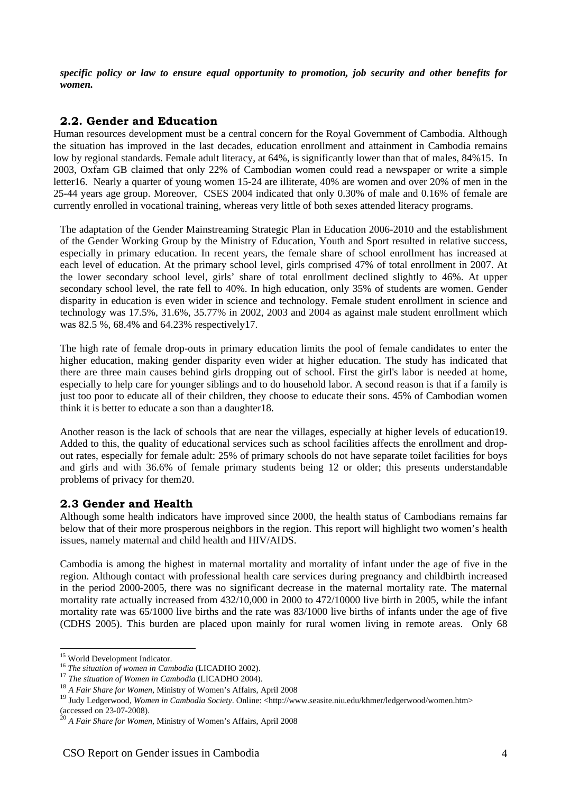*specific policy or law to ensure equal opportunity to promotion, job security and other benefits for women.*

# **2.2. Gender and Education**

Human resources development must be a central concern for the Royal Government of Cambodia. Although the situation has improved in the last decades, education enrollment and attainment in Cambodia remains low by regional standards. Female adult literacy, at 64%, is significantly lower than that of males, 84%15. In 2003, Oxfam GB claimed that only 22% of Cambodian women could read a newspaper or write a simple letter16. Nearly a quarter of young women 15-24 are illiterate, 40% are women and over 20% of men in the 25-44 years age group. Moreover, CSES 2004 indicated that only 0.30% of male and 0.16% of female are currently enrolled in vocational training, whereas very little of both sexes attended literacy programs.

The adaptation of the Gender Mainstreaming Strategic Plan in Education 2006-2010 and the establishment of the Gender Working Group by the Ministry of Education, Youth and Sport resulted in relative success, especially in primary education. In recent years, the female share of school enrollment has increased at each level of education. At the primary school level, girls comprised 47% of total enrollment in 2007. At the lower secondary school level, girls' share of total enrollment declined slightly to 46%. At upper secondary school level, the rate fell to 40%. In high education, only 35% of students are women. Gender disparity in education is even wider in science and technology. Female student enrollment in science and technology was 17.5%, 31.6%, 35.77% in 2002, 2003 and 2004 as against male student enrollment which was 82.5 %, 68.4% and 64.23% respectively17.

The high rate of female drop-outs in primary education limits the pool of female candidates to enter the higher education, making gender disparity even wider at higher education. The study has indicated that there are three main causes behind girls dropping out of school. First the girl's labor is needed at home, especially to help care for younger siblings and to do household labor. A second reason is that if a family is just too poor to educate all of their children, they choose to educate their sons. 45% of Cambodian women think it is better to educate a son than a daughter18.

Another reason is the lack of schools that are near the villages, especially at higher levels of education19. Added to this, the quality of educational services such as school facilities affects the enrollment and dropout rates, especially for female adult: 25% of primary schools do not have separate toilet facilities for boys and girls and with 36.6% of female primary students being 12 or older; this presents understandable problems of privacy for them20.

## **2.3 Gender and Health**

Although some health indicators have improved since 2000, the health status of Cambodians remains far below that of their more prosperous neighbors in the region. This report will highlight two women's health issues, namely maternal and child health and HIV/AIDS.

Cambodia is among the highest in maternal mortality and mortality of infant under the age of five in the region. Although contact with professional health care services during pregnancy and childbirth increased in the period 2000-2005, there was no significant decrease in the maternal mortality rate. The maternal mortality rate actually increased from 432/10,000 in 2000 to 472/10000 live birth in 2005, while the infant mortality rate was 65/1000 live births and the rate was 83/1000 live births of infants under the age of five (CDHS 2005). This burden are placed upon mainly for rural women living in remote areas. Only 68

1

<sup>&</sup>lt;sup>15</sup> World Development Indicator.

<sup>&</sup>lt;sup>16</sup> *The situation of women in Cambodia* (LICADHO 2002).<sup>17</sup> *The situation of Women in Cambodia* (LICADHO 2004).

<sup>18</sup> *A Fair Share for Women,* Ministry of Women's Affairs, April 2008

<sup>&</sup>lt;sup>19</sup> Judy Ledgerwood, Women in Cambodia Society. Online: <http://www.seasite.niu.edu/khmer/ledgerwood/women.htm> (accessed on 23-07-2008).

<sup>20</sup> *A Fair Share for Women,* Ministry of Women's Affairs, April 2008